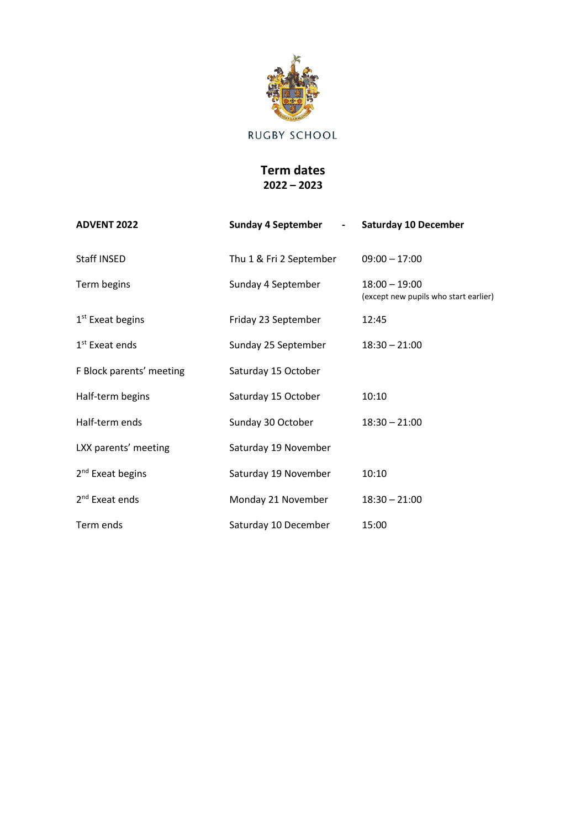

## **Term dates 2022 – 2023**

| <b>ADVENT 2022</b>           | <b>Sunday 4 September</b><br>$\sim 100$ | <b>Saturday 10 December</b>                              |
|------------------------------|-----------------------------------------|----------------------------------------------------------|
| Staff INSED                  | Thu 1 & Fri 2 September                 | $09:00 - 17:00$                                          |
| Term begins                  | Sunday 4 September                      | $18:00 - 19:00$<br>(except new pupils who start earlier) |
| $1st$ Exeat begins           | Friday 23 September                     | 12:45                                                    |
| 1 <sup>st</sup> Exeat ends   | Sunday 25 September                     | $18:30 - 21:00$                                          |
| F Block parents' meeting     | Saturday 15 October                     |                                                          |
| Half-term begins             | Saturday 15 October                     | 10:10                                                    |
| Half-term ends               | Sunday 30 October                       | $18:30 - 21:00$                                          |
| LXX parents' meeting         | Saturday 19 November                    |                                                          |
| 2 <sup>nd</sup> Exeat begins | Saturday 19 November                    | 10:10                                                    |
| 2 <sup>nd</sup> Exeat ends   | Monday 21 November                      | $18:30 - 21:00$                                          |
| Term ends                    | Saturday 10 December                    | 15:00                                                    |